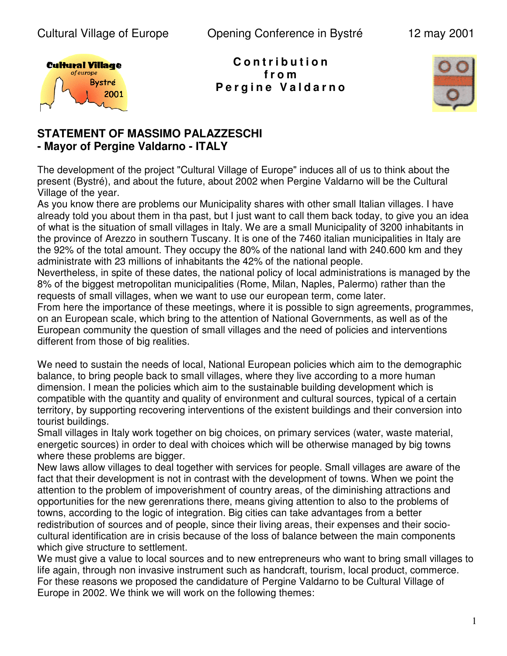

**C o n t r i b u t i o n f r o m P e r g i n e V a l d a r n o**



# **STATEMENT OF MASSIMO PALAZZESCHI - Mayor of Pergine Valdarno - ITALY**

The development of the project "Cultural Village of Europe" induces all of us to think about the present (Bystré), and about the future, about 2002 when Pergine Valdarno will be the Cultural Village of the year.

As you know there are problems our Municipality shares with other small Italian villages. I have already told you about them in tha past, but I just want to call them back today, to give you an idea of what is the situation of small villages in Italy. We are a small Municipality of 3200 inhabitants in the province of Arezzo in southern Tuscany. It is one of the 7460 italian municipalities in Italy are the 92% of the total amount. They occupy the 80% of the national land with 240.600 km and they administrate with 23 millions of inhabitants the 42% of the national people.

Nevertheless, in spite of these dates, the national policy of local administrations is managed by the 8% of the biggest metropolitan municipalities (Rome, Milan, Naples, Palermo) rather than the requests of small villages, when we want to use our european term, come later.

From here the importance of these meetings, where it is possible to sign agreements, programmes, on an European scale, which bring to the attention of National Governments, as well as of the European community the question of small villages and the need of policies and interventions different from those of big realities.

We need to sustain the needs of local, National European policies which aim to the demographic balance, to bring people back to small villages, where they live according to a more human dimension. I mean the policies which aim to the sustainable building development which is compatible with the quantity and quality of environment and cultural sources, typical of a certain territory, by supporting recovering interventions of the existent buildings and their conversion into tourist buildings.

Small villages in Italy work together on big choices, on primary services (water, waste material, energetic sources) in order to deal with choices which will be otherwise managed by big towns where these problems are bigger.

New laws allow villages to deal together with services for people. Small villages are aware of the fact that their development is not in contrast with the development of towns. When we point the attention to the problem of impoverishment of country areas, of the diminishing attractions and opportunities for the new gerenrations there, means giving attention to also to the problems of towns, according to the logic of integration. Big cities can take advantages from a better redistribution of sources and of people, since their living areas, their expenses and their sociocultural identification are in crisis because of the loss of balance between the main components which give structure to settlement.

We must give a value to local sources and to new entrepreneurs who want to bring small villages to life again, through non invasive instrument such as handcraft, tourism, local product, commerce. For these reasons we proposed the candidature of Pergine Valdarno to be Cultural Village of Europe in 2002. We think we will work on the following themes: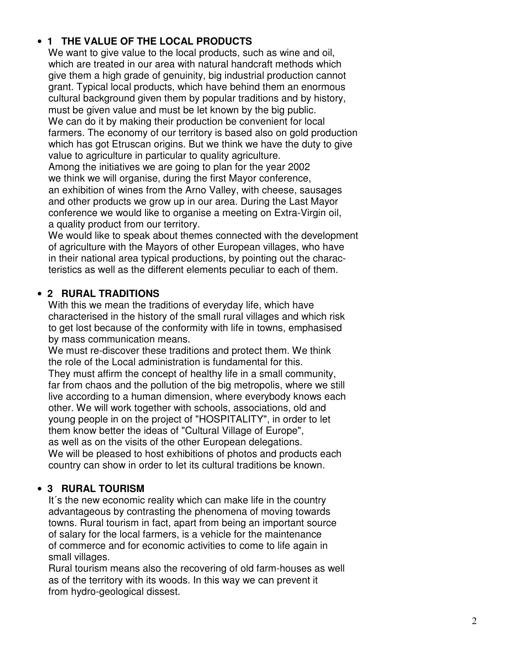## $\bullet$  1 THE VALUE OF THE LOCAL PRODUCTS

We want to give value to the local products, such as wine and oil, which are treated in our area with natural handcraft methods which give them a high grade of genuinity, big industrial production cannot grant. Typical local products, which have behind them an enormous cultural background given them by popular traditions and by history, must be given value and must be let known by the big public. We can do it by making their production be convenient for local farmers. The economy of our territory is based also on gold production which has got Etruscan origins. But we think we have the duty to give value to agriculture in particular to quality agriculture. Among the initiatives we are going to plan for the year 2002 we think we will organise, during the first Mayor conference, an exhibition of wines from the Arno Valley, with cheese, sausages

and other products we grow up in our area. During the Last Mayor conference we would like to organise a meeting on Extra-Virgin oil, a quality product from our territory.

We would like to speak about themes connected with the development of agriculture with the Mayors of other European villages, who have in their national area typical productions, by pointing out the charac teristics as well as the different elements peculiar to each of them.

#### $\bullet$  2 RURAL TRADITIONS

With this we mean the traditions of everyday life, which have characterised in the history of the small rural villages and which risk to get lost because of the conformity with life in towns, emphasised by mass communication means.

We must re-discover these traditions and protect them. We think the role of the Local administration is fundamental for this.

They must affirm the concept of healthy life in a small community, far from chaos and the pollution of the big metropolis, where we still live according to a human dimension, where everybody knows each other. We will work together with schools, associations, old and young people in on the project of "HOSPITALITY", in order to let them know better the ideas of "Cultural Village of Europe", as well as on the visits of the other European delegations. We will be pleased to host exhibitions of photos and products each country can show in order to let its cultural traditions be known.

# • 3 RURAL TOURISM

It's the new economic reality which can make life in the country advantageous by contrasting the phenomena of moving towards towns. Rural tourism in fact, apart from being an important source of salary for the local farmers, is a vehicle for the maintenance of commerce and for economic activities to come to life again in small villages.

Rural tourism means also the recovering of old farm-houses as well as of the territory with its woods. In this way we can prevent it from hydro-geological dissest.